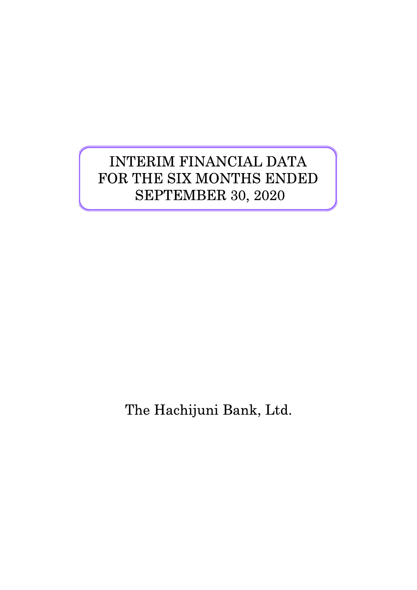# INTERIM FINANCIAL DATA FOR THE SIX MONTHS ENDED SEPTEMBER 30, 2020

The Hachijuni Bank, Ltd.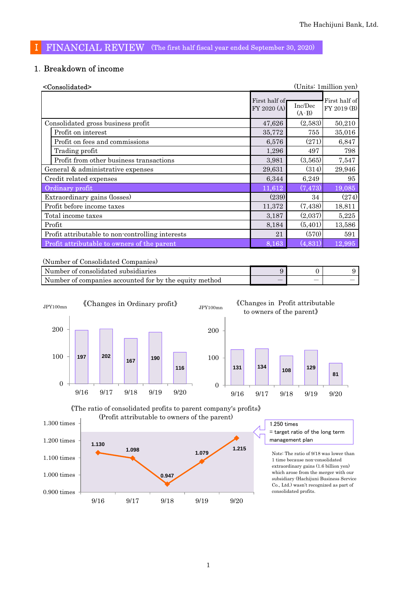### Ⅰ FINANCIAL REVIEW (The first half fiscal year ended September 30, 2020)

#### 1.Breakdown of income

| <consolidated></consolidated>                    |                              |                    | (Units: 1 million yen)       |
|--------------------------------------------------|------------------------------|--------------------|------------------------------|
|                                                  | First half of<br>FY 2020 (A) | Inc/Dec<br>$(A-B)$ | First half of<br>FY 2019 (B) |
| Consolidated gross business profit               | 47,626                       | (2,583)            | 50,210                       |
| Profit on interest                               | 35,772                       | 755                | 35,016                       |
| Profit on fees and commissions                   | 6,576                        | (271)              | 6,847                        |
| Trading profit                                   | 1,296                        | 497                | 798                          |
| Profit from other business transactions          | 3,981                        | (3,565)            | 7,547                        |
| General & administrative expenses                | 29,631                       | (314)              | 29,946                       |
| Credit related expenses                          | 6,344                        | 6,249              | 95                           |
| Ordinary profit                                  | 11,612                       | (7, 473)           | 19,085                       |
| Extraordinary gains (losses)                     | (239)                        | 34                 | (274)                        |
| Profit before income taxes                       | 11,372                       | (7,438)            | 18,811                       |
| Total income taxes                               | 3,187                        | (2,037)            | 5,225                        |
| Profit                                           | 8,184                        | (5,401)            | 13,586                       |
| Profit attributable to non-controlling interests | 21                           | (570)              | 591                          |
| Profit attributable to owners of the parent      | 8,163                        | (4,831)            | 12,995                       |

(Number of Consolidated Companies)

| Number of consolidated subsidiaries                    |   |  |
|--------------------------------------------------------|---|--|
| Number of companies accounted for by the equity method | _ |  |





1.250 times

= target ratio of the long term management plan

Note: The ratio of 9/18 was lower than 1 time because non-consolidated extraordinary gains (1.6 billion yen) which arose from the merger with our subsidiary (Hachijuni Business Service Co., Ltd.) wasn't recognized as part of consolidated profits.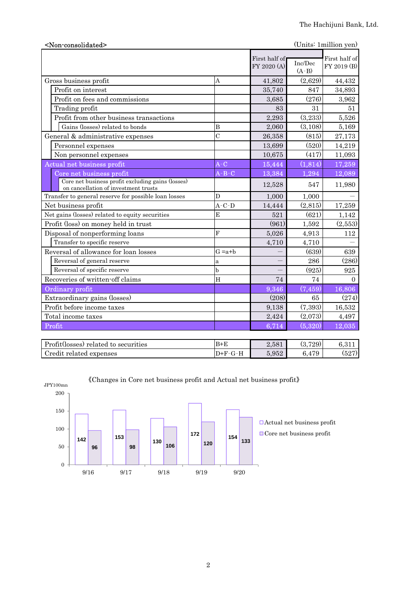| (Units: 1 million yen)<br><non-consolidated></non-consolidated>                           |                |                              |                    |                              |  |
|-------------------------------------------------------------------------------------------|----------------|------------------------------|--------------------|------------------------------|--|
|                                                                                           |                | First half of<br>FY 2020 (A) | Inc/Dec<br>$(A-B)$ | First half of<br>FY 2019 (B) |  |
| Gross business profit                                                                     | A              | 41,802                       | (2,629)            | 44,432                       |  |
| Profit on interest                                                                        |                | 35,740                       | 847                | 34,893                       |  |
| Profit on fees and commissions                                                            |                | 3,685                        | (276)              | 3,962                        |  |
| Trading profit                                                                            |                | 83                           | 31                 | 51                           |  |
| Profit from other business transactions                                                   |                | 2,293                        | (3,233)            | 5,526                        |  |
| Gains (losses) related to bonds                                                           | B              | 2,060                        | (3,108)            | 5,169                        |  |
| General & administrative expenses                                                         | $\overline{C}$ | 26,358                       | (815)              | 27,173                       |  |
| Personnel expenses                                                                        |                | 13,699                       | (520)              | 14,219                       |  |
| Non personnel expenses                                                                    |                | 10,675                       | (417)              | 11,093                       |  |
| Actual net business profit                                                                | $A-C$          | 15,444                       | (1, 814)           | 17,259                       |  |
| Core net business profit                                                                  | $A - B - C$    | 13,384                       | 1,294              | 12,089                       |  |
| Core net business profit excluding gains (losses)<br>on cancellation of investment trusts |                | 12,528                       | 547                | 11,980                       |  |
| Transfer to general reserve for possible loan losses                                      | D              | 1,000                        | 1,000              |                              |  |
| Net business profit                                                                       | $A-C-D$        | 14,444                       | (2,815)            | 17,259                       |  |
| Net gains (losses) related to equity securities                                           | E              | 521                          | (621)              | 1,142                        |  |
| Profit (loss) on money held in trust                                                      |                | (961)                        | 1,592              | (2,553)                      |  |
| Disposal of nonperforming loans                                                           | F              | 5,026                        | 4,913              | 112                          |  |
| Transfer to specific reserve                                                              |                | 4,710                        | 4,710              |                              |  |
| Reversal of allowance for loan losses                                                     | $G = a + b$    |                              | (639)              | 639                          |  |
| Reversal of general reserve                                                               | a              |                              | 286                | (286)                        |  |
| Reversal of specific reserve                                                              | b              |                              | (925)              | 925                          |  |
| Recoveries of written-off claims                                                          | H              | 74                           | 74                 | $\Omega$                     |  |
| Ordinary profit                                                                           |                | 9,346                        | (7, 459)           | 16,806                       |  |
| Extraordinary gains (losses)                                                              |                | (208)                        | 65                 | (274)                        |  |
| Profit before income taxes                                                                |                | 9,138                        | (7, 393)           | 16,532                       |  |
| Total income taxes                                                                        |                | 2,424                        | (2,073)            | 4,497                        |  |
| Profit                                                                                    |                | 6,714                        | (5, 320)           | 12,035                       |  |
| Profit(losses) related to securities                                                      | $B+E$          | 2,581                        | (3,729)            | 6,311                        |  |



《Changes in Core net business profit and Actual net business profit》

Credit related expenses  $D+F-G-H$  5,952 6,479 (527)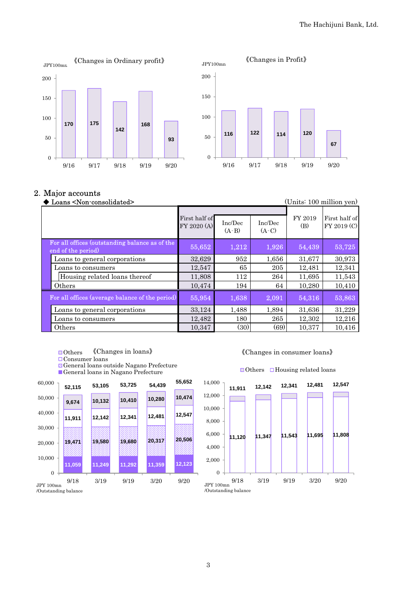

#### 2.Major accounts

| Loans <non-consolidated><br/>(Units: 100 million yen)</non-consolidated> |                              |                    |                    |                |                              |
|--------------------------------------------------------------------------|------------------------------|--------------------|--------------------|----------------|------------------------------|
|                                                                          | First half of<br>FY 2020 (A) | Inc/Dec<br>$(A-B)$ | Inc/Dec<br>$(A-C)$ | FY 2019<br>(B) | First half of<br>FY 2019 (C) |
| For all offices (outstanding balance as of the<br>end of the period)     | 55,652                       | 1,212              | 1,926              | 54,439         | 53,725                       |
| Loans to general corporations                                            | 32,629                       | 952                | 1,656              | 31,677         | 30,973                       |
| Loans to consumers                                                       | 12,547                       | 65                 | 205                | 12,481         | 12,341                       |
| Housing related loans thereof                                            | 11,808                       | 112                | 264                | 11.695         | 11,543                       |
| Others                                                                   | 10,474                       | 194                | 64                 | 10,280         | 10,410                       |
| For all offices (average balance of the period)                          | 55,954                       | 1,638              | 2,091              | 54,316         | 53,863                       |
| Loans to general corporations                                            | 33,124                       | 1,488              | 1,894              | 31,636         | 31,229                       |
| Loans to consumers                                                       | 12,482                       | 180                | 265                | 12,302         | 12,216                       |
| Others                                                                   | 10,347                       | (30)               | (69)               | 10,377         | 10,416                       |

- ■Others 《Changes in loans》
- Consumer loans

General loans outside Nagano Prefecture General loans in Nagano Prefecture

60,000



#### 《Changes in consumer loans》

#### $\Box$ Others  $\Box$ Housing related loans



3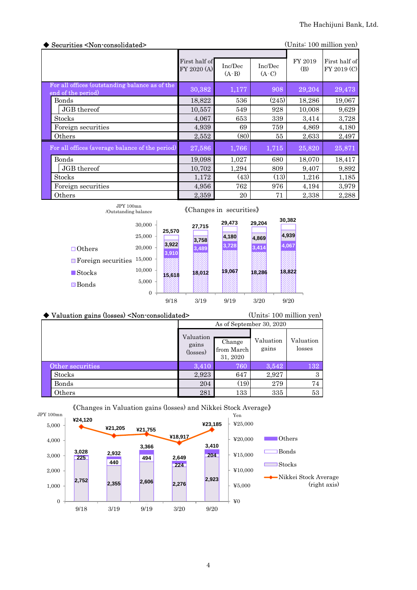| Securities <non-consolidated><br/>(Units: 100 million yen)</non-consolidated> |                              |                    |                    |                |                              |  |
|-------------------------------------------------------------------------------|------------------------------|--------------------|--------------------|----------------|------------------------------|--|
|                                                                               | First half of<br>FY 2020 (A) | Inc/Dec<br>$(A-B)$ | Inc/Dec<br>$(A-C)$ | FY 2019<br>(B) | First half of<br>FY 2019 (C) |  |
| For all offices (outstanding balance as of the<br>end of the period)          | 30,382                       | 1,177              | 908                | 29,204         | 29,473                       |  |
| Bonds                                                                         | 18,822                       | 536                | (245)              | 18,286         | 19,067                       |  |
| JGB thereof                                                                   | 10,557                       | 549                | 928                | 10,008         | 9,629                        |  |
| <b>Stocks</b>                                                                 | 4,067                        | 653                | 339                | 3,414          | 3,728                        |  |
| Foreign securities                                                            | 4,939                        | 69                 | 759                | 4,869          | 4,180                        |  |
| Others                                                                        | 2,552                        | (80)               | 55                 | 2,633          | 2,497                        |  |
| For all offices (average balance of the period)                               | 27,586                       | 1,766              | 1,715              | 25,820         | 25,871                       |  |
| <b>Bonds</b>                                                                  | 19,098                       | 1,027              | 680                | 18,070         | 18,417                       |  |
| JGB thereof                                                                   | 10,702                       | 1,294              | 809                | 9,407          | 9,892                        |  |
| <b>Stocks</b>                                                                 | 1,172                        | (43)               | (13)               | 1,216          | 1,185                        |  |
| Foreign securities                                                            | 4,956                        | 762                | 976                | 4,194          | 3,979                        |  |
| Others                                                                        | 2,359                        | 20                 | 71                 | 2,338          | 2,288                        |  |

|                           | JPY100mn<br>/Outstanding balance |                |        | «Changes in securities» |        |        |  |  |
|---------------------------|----------------------------------|----------------|--------|-------------------------|--------|--------|--|--|
|                           | 30,000                           |                | 27,715 | 29,473                  | 29,204 | 30,382 |  |  |
|                           | 25,000                           | 25,570         | 3,758  | 4,180                   | 4,869  | 4,939  |  |  |
| $\Box$ Others             | 20,000                           | 3,922<br>3,910 | 3,489  | 3,728                   | 3,414  | 4,067  |  |  |
| $\Box$ Foreign securities | 15,000                           |                |        |                         |        |        |  |  |
| $\blacksquare$ Stocks     | 10,000                           | 15,618         | 18,012 | 19,067                  | 18,286 | 18,822 |  |  |
| <b>⊠</b> Bonds            | 5,000                            |                |        |                         |        |        |  |  |
|                           | $\Omega$                         | 9/18           | 3/19   | 9/19                    | 3/20   | 9/20   |  |  |

| $\blacktriangleright$ Valuation gains (losses) <non-consolidated></non-consolidated> |                                | (Units: 100 million yen)         |                    |                     |  |
|--------------------------------------------------------------------------------------|--------------------------------|----------------------------------|--------------------|---------------------|--|
|                                                                                      | As of September 30, 2020       |                                  |                    |                     |  |
|                                                                                      | Valuation<br>gains<br>(losses) | Change<br>from March<br>31, 2020 | Valuation<br>gains | Valuation<br>losses |  |
| Other securities                                                                     | 3.410                          | 760                              | 3,542              | 132                 |  |
| <b>Stocks</b>                                                                        | 2,923                          | 647                              | 2,927              | 3                   |  |
| Bonds                                                                                | 204                            | (19)                             | 279                | 74                  |  |
| Others                                                                               | 281                            | 133                              | 335                | 53                  |  |



《Changes in Valuation gains (losses) and Nikkei Stock Average》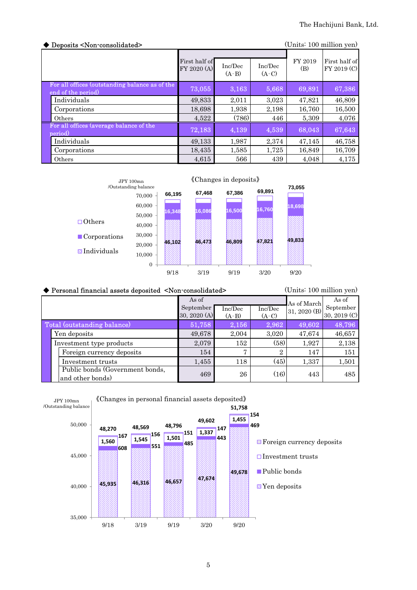| Deposits <non-consolidated></non-consolidated>                       |                              |                    |                    |                | (Units: 100 million yen)     |
|----------------------------------------------------------------------|------------------------------|--------------------|--------------------|----------------|------------------------------|
|                                                                      | First half of<br>FY 2020 (A) | Inc/Dec<br>$(A-B)$ | Inc/Dec<br>$(A-C)$ | FY 2019<br>(B) | First half of<br>FY 2019 (C) |
| For all offices (outstanding balance as of the<br>end of the period) | 73,055                       | 3,163              | 5,668              | 69,891         | 67,386                       |
| Individuals                                                          | 49,833                       | 2.011              | 3.023              | 47.821         | 46,809                       |
| Corporations                                                         | 18,698                       | 1,938              | 2,198              | 16,760         | 16,500                       |
| Others                                                               | 4,522                        | (786)              | 446                | 5,309          | 4,076                        |
| For all offices (average balance of the<br>period)                   | 72,183                       | 4,139              | 4,539              | 68,043         | 67,643                       |
| Individuals                                                          | 49,133                       | 1.987              | 2,374              | 47.145         | 46,758                       |
| Corporations                                                         | 18,435                       | 1,585              | 1,725              | 16,849         | 16,709                       |
| Others                                                               | 4,615                        | 566                | 439                | 4.048          | 4,175                        |



| (Units: 100 million yen)<br>◆ Personal financial assets deposited <non-consolidated></non-consolidated> |              |         |                |              |              |  |  |
|---------------------------------------------------------------------------------------------------------|--------------|---------|----------------|--------------|--------------|--|--|
|                                                                                                         | As of        |         |                | As of March  | As of        |  |  |
|                                                                                                         | September    | Inc/Dec | Inc/Dec        | 31, 2020 (B) | September    |  |  |
|                                                                                                         | 30, 2020 (A) | $(A-B)$ | $(A-C)$        |              | 30, 2019 (C) |  |  |
| Total (outstanding balance)                                                                             | 51,758       | 2,156   | 2,962          | 49,602       | 48,796       |  |  |
| Yen deposits                                                                                            | 49,678       | 2,004   | 3,020          | 47,674       | 46,657       |  |  |
| Investment type products                                                                                | 2,079        | 152     | (58)           | 1,927        | 2,138        |  |  |
| Foreign currency deposits                                                                               | 154          | 7       | $\overline{2}$ | 147          | 151          |  |  |
| Investment trusts                                                                                       | 1,455        | 118     | (45)           | 1,337        | 1,501        |  |  |
| Public bonds (Government bonds,<br>and other bonds)                                                     | 469          | 26      | (16)           | 443          | 485          |  |  |



#### 5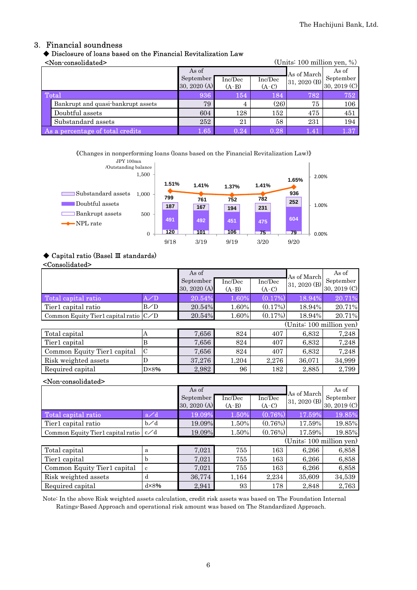#### 3. Financial soundness

#### ◆ Disclosure of loans based on the Financial Revitalization Law

<Non-consolidated> (Units: 100 million yen, %)

| www.composition.com<br>$\sqrt{O(11100)}$ 100 minimum $\sqrt{O(1100)}$ |                                    |              |         |         |              |              |
|-----------------------------------------------------------------------|------------------------------------|--------------|---------|---------|--------------|--------------|
|                                                                       |                                    | As of        |         |         | As of March  | As of        |
|                                                                       |                                    | September    | Inc/Dec | Inc/Dec | 31, 2020 (B) | September    |
|                                                                       |                                    | 30, 2020 (A) | $(A-B)$ | $(A-C)$ |              | 30, 2019 (C) |
|                                                                       | Total                              | 936          | 154     | 184     | 782          | 752          |
|                                                                       | Bankrupt and quasi-bankrupt assets | 79           | 4       | (26)    | 75           | 106          |
|                                                                       | Doubtful assets                    | 604          | 128     | 152     | 475          | 451          |
|                                                                       | Substandard assets                 | 252          | 21      | 58      | 231          | 194          |
| As a percentage of total credits                                      |                                    | 1.65         | 0.24    | 0.28    | 1.41         | 1.37         |

《Changes in nonperforming loans (loans based on the Financial Revitalization Law)》



#### ◆ Capital ratio (Basel Ⅲ standards)

#### <Consolidated>

|                                           |                | As of<br>September<br>30, 2020 (A) | Inc/Dec<br>$(A-B)$ | Inc/Dec<br>$(A-C)$ | As of March<br>31, 2020 (B) | As of<br>September<br>30, 2019 (C) |
|-------------------------------------------|----------------|------------------------------------|--------------------|--------------------|-----------------------------|------------------------------------|
| Total capital ratio                       | A/D            | 20.54%                             | 1.60%              | (0.17%)            | 18.94%                      | 20.71%                             |
| Tier1 capital ratio                       | B/D            | 20.54%                             | 1.60%              | $(0.17\%)$         | 18.94%                      | 20.71%                             |
| Common Equity Tier1 capital ratio $ C/D $ |                | 20.54%                             | 1.60%              | (0.17%)            | 18.94%                      | 20.71%                             |
|                                           |                |                                    |                    |                    | (Units: 100 million yen)    |                                    |
| Total capital                             | А              | 7,656                              | 824                | 407                | 6,832                       | 7,248                              |
| Tier1 capital                             | B              | 7,656                              | 824                | 407                | 6,832                       | 7,248                              |
| Common Equity Tier1 capital               | $\mathcal{C}$  | 7,656                              | 824                | 407                | 6,832                       | 7,248                              |
| Risk weighted assets                      | D              | 37,276                             | 1,204              | 2,276              | 36,071                      | 34,999                             |
| Required capital                          | $D \times 8\%$ | 2,982                              | 96                 | 182                | 2,885                       | 2,799                              |

#### <Non-consolidated>

|                                           | As of          |                           |                    | As of March        | As of                    |                           |
|-------------------------------------------|----------------|---------------------------|--------------------|--------------------|--------------------------|---------------------------|
|                                           |                | September<br>30, 2020 (A) | Inc/Dec<br>$(A-B)$ | Inc/Dec<br>$(A-C)$ | 31, 2020 (B)             | September<br>30, 2019 (C) |
| Total capital ratio                       | a/d            | 19.09%                    | 1.50%              | (0.76%)            | 17.59%                   | 19.85%                    |
| Tier1 capital ratio                       | $b\angle d$    | 19.09%                    | 1.50%              | $(0.76\%)$         | 17.59%                   | 19.85%                    |
| Common Equity Tier1 capital ratio $ c/d $ |                | 19.09%                    | 1.50%              | (0.76%)            | 17.59%                   | 19.85%                    |
|                                           |                |                           |                    |                    | (Units: 100 million yen) |                           |
| Total capital                             | a              | 7,021                     | 755                | 163                | 6,266                    | 6,858                     |
| Tier1 capital                             | h              | 7,021                     | 755                | 163                | 6,266                    | 6,858                     |
| Common Equity Tier1 capital               | c              | 7,021                     | 755                | 163                | 6,266                    | 6,858                     |
| Risk weighted assets                      | d              | 36,774                    | 1,164              | 2,234              | 35,609                   | 34,539                    |
| Required capital                          | $d \times 8\%$ | 2,941                     | 93                 | 178                | 2,848                    | 2,763                     |

Note: In the above Risk weighted assets calculation, credit risk assets was based on The Foundation Internal Ratings-Based Approach and operational risk amount was based on The Standardized Approach.